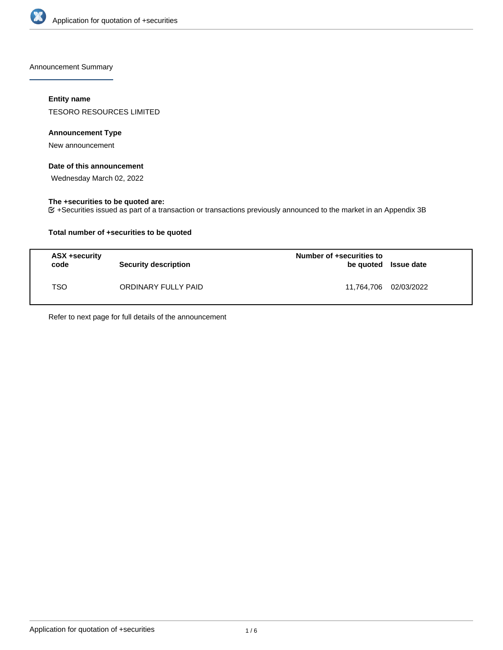

Announcement Summary

## **Entity name**

TESORO RESOURCES LIMITED

## **Announcement Type**

New announcement

## **Date of this announcement**

Wednesday March 02, 2022

## **The +securities to be quoted are:**

+Securities issued as part of a transaction or transactions previously announced to the market in an Appendix 3B

## **Total number of +securities to be quoted**

| ASX +security<br>code | <b>Security description</b> | Number of +securities to<br>be quoted Issue date |  |
|-----------------------|-----------------------------|--------------------------------------------------|--|
| TSO                   | ORDINARY FULLY PAID         | 11,764,706 02/03/2022                            |  |

Refer to next page for full details of the announcement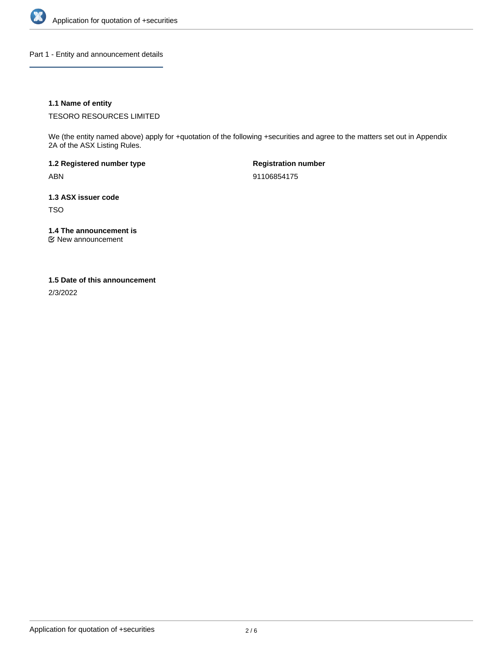

Part 1 - Entity and announcement details

## **1.1 Name of entity**

TESORO RESOURCES LIMITED

We (the entity named above) apply for +quotation of the following +securities and agree to the matters set out in Appendix 2A of the ASX Listing Rules.

**1.2 Registered number type** ABN

**Registration number** 91106854175

**1.3 ASX issuer code** TSO

**1.4 The announcement is**

New announcement

### **1.5 Date of this announcement**

2/3/2022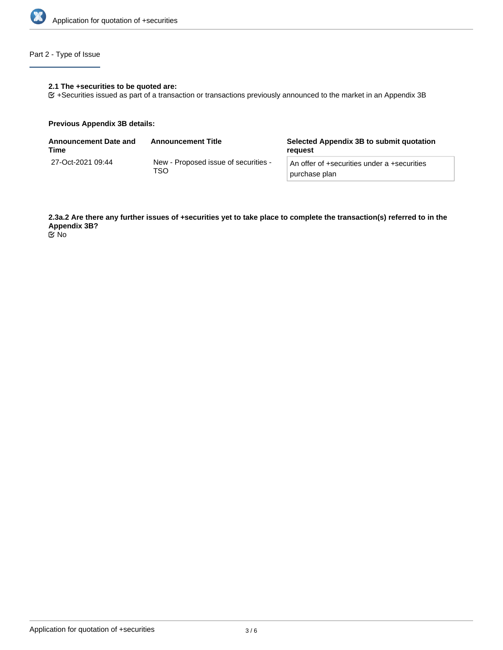

## Part 2 - Type of Issue

#### **2.1 The +securities to be quoted are:**

+Securities issued as part of a transaction or transactions previously announced to the market in an Appendix 3B

### **Previous Appendix 3B details:**

| <b>Announcement Date and</b><br>Time | <b>Announcement Title</b>                   | Selected Appendix 3B to submit quotation<br>reauest          |
|--------------------------------------|---------------------------------------------|--------------------------------------------------------------|
| 27-Oct-2021 09:44                    | New - Proposed issue of securities -<br>TSO | An offer of +securities under a +securities<br>purchase plan |

**2.3a.2 Are there any further issues of +securities yet to take place to complete the transaction(s) referred to in the Appendix 3B?**

No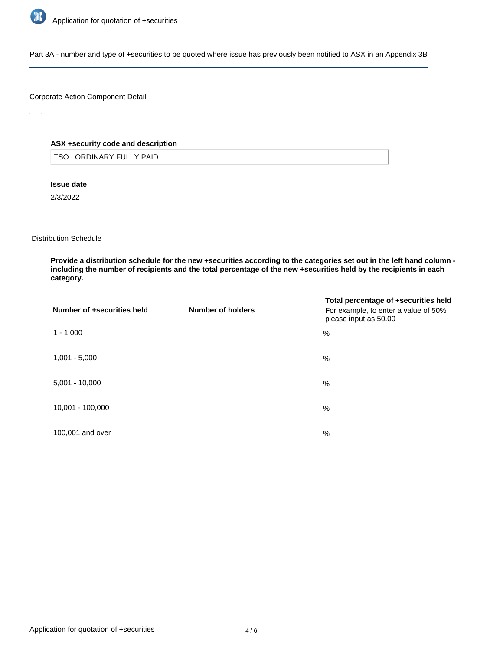

Part 3A - number and type of +securities to be quoted where issue has previously been notified to ASX in an Appendix 3B

## Corporate Action Component Detail

## **ASX +security code and description**

TSO : ORDINARY FULLY PAID

**Issue date**

2/3/2022

Distribution Schedule

**Provide a distribution schedule for the new +securities according to the categories set out in the left hand column including the number of recipients and the total percentage of the new +securities held by the recipients in each category.**

| Number of +securities held | Number of holders | Total percentage of +securities held<br>For example, to enter a value of 50%<br>please input as 50.00 |
|----------------------------|-------------------|-------------------------------------------------------------------------------------------------------|
| $1 - 1,000$                |                   | %                                                                                                     |
| $1,001 - 5,000$            |                   | %                                                                                                     |
| $5,001 - 10,000$           |                   | %                                                                                                     |
| 10,001 - 100,000           |                   | %                                                                                                     |
| 100,001 and over           |                   | $\%$                                                                                                  |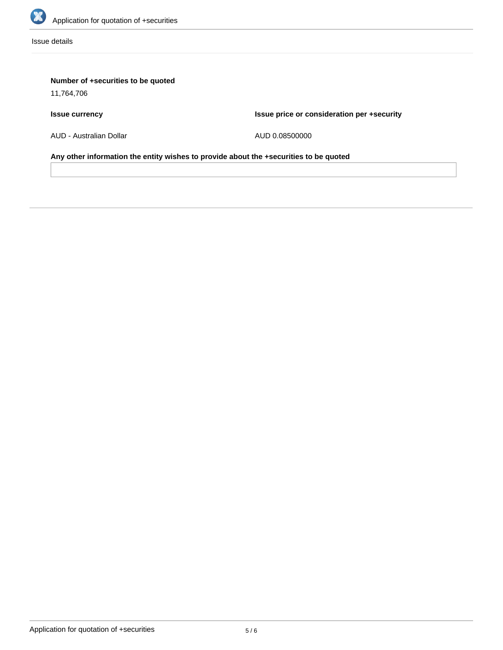

Issue details

# **Number of +securities to be quoted**

11,764,706

# **Issue currency**

**Issue price or consideration per +security**

AUD - Australian Dollar

AUD 0.08500000

**Any other information the entity wishes to provide about the +securities to be quoted**